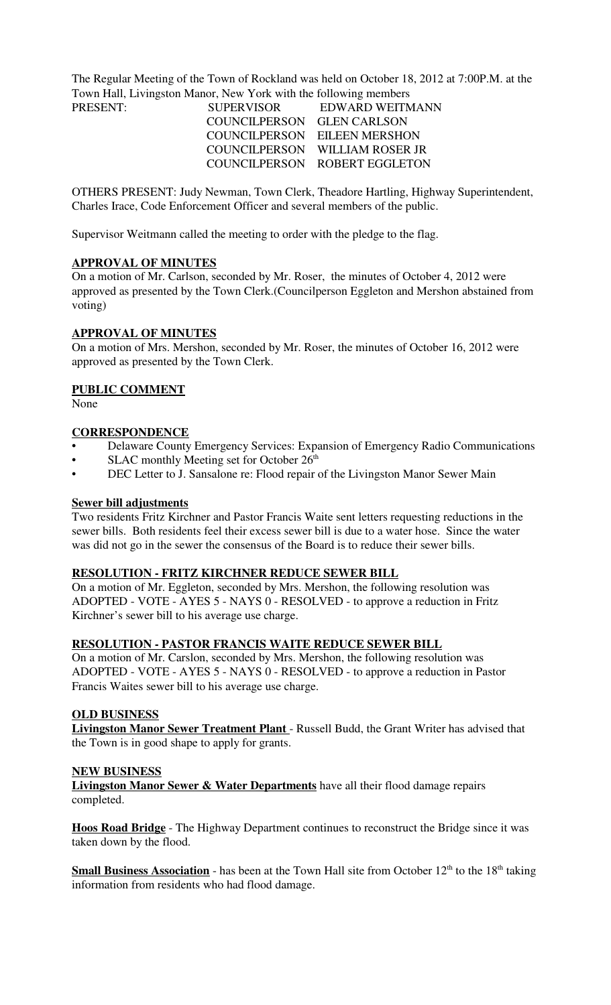The Regular Meeting of the Town of Rockland was held on October 18, 2012 at 7:00P.M. at the Town Hall, Livingston Manor, New York with the following members

| <b>SUPERVISOR</b>          | EDWARD WEITMANN                |
|----------------------------|--------------------------------|
| COUNCILPERSON GLEN CARLSON |                                |
|                            | COUNCILPERSON EILEEN MERSHON   |
|                            | COUNCILPERSON WILLIAM ROSER JR |
|                            | COUNCILPERSON ROBERT EGGLETON  |
|                            |                                |

OTHERS PRESENT: Judy Newman, Town Clerk, Theadore Hartling, Highway Superintendent, Charles Irace, Code Enforcement Officer and several members of the public.

Supervisor Weitmann called the meeting to order with the pledge to the flag.

### **APPROVAL OF MINUTES**

On a motion of Mr. Carlson, seconded by Mr. Roser, the minutes of October 4, 2012 were approved as presented by the Town Clerk.(Councilperson Eggleton and Mershon abstained from voting)

### **APPROVAL OF MINUTES**

On a motion of Mrs. Mershon, seconded by Mr. Roser, the minutes of October 16, 2012 were approved as presented by the Town Clerk.

#### **PUBLIC COMMENT**

None

### **CORRESPONDENCE**

- Delaware County Emergency Services: Expansion of Emergency Radio Communications
- SLAC monthly Meeting set for October  $26<sup>th</sup>$
- DEC Letter to J. Sansalone re: Flood repair of the Livingston Manor Sewer Main

### **Sewer bill adjustments**

Two residents Fritz Kirchner and Pastor Francis Waite sent letters requesting reductions in the sewer bills. Both residents feel their excess sewer bill is due to a water hose. Since the water was did not go in the sewer the consensus of the Board is to reduce their sewer bills.

### **RESOLUTION - FRITZ KIRCHNER REDUCE SEWER BILL**

On a motion of Mr. Eggleton, seconded by Mrs. Mershon, the following resolution was ADOPTED - VOTE - AYES 5 - NAYS 0 - RESOLVED - to approve a reduction in Fritz Kirchner's sewer bill to his average use charge.

### **RESOLUTION - PASTOR FRANCIS WAITE REDUCE SEWER BILL**

On a motion of Mr. Carslon, seconded by Mrs. Mershon, the following resolution was ADOPTED - VOTE - AYES 5 - NAYS 0 - RESOLVED - to approve a reduction in Pastor Francis Waites sewer bill to his average use charge.

### **OLD BUSINESS**

**Livingston Manor Sewer Treatment Plant** - Russell Budd, the Grant Writer has advised that the Town is in good shape to apply for grants.

#### **NEW BUSINESS**

**Livingston Manor Sewer & Water Departments** have all their flood damage repairs completed.

**Hoos Road Bridge** - The Highway Department continues to reconstruct the Bridge since it was taken down by the flood.

**Small Business Association** - has been at the Town Hall site from October 12<sup>th</sup> to the 18<sup>th</sup> taking information from residents who had flood damage.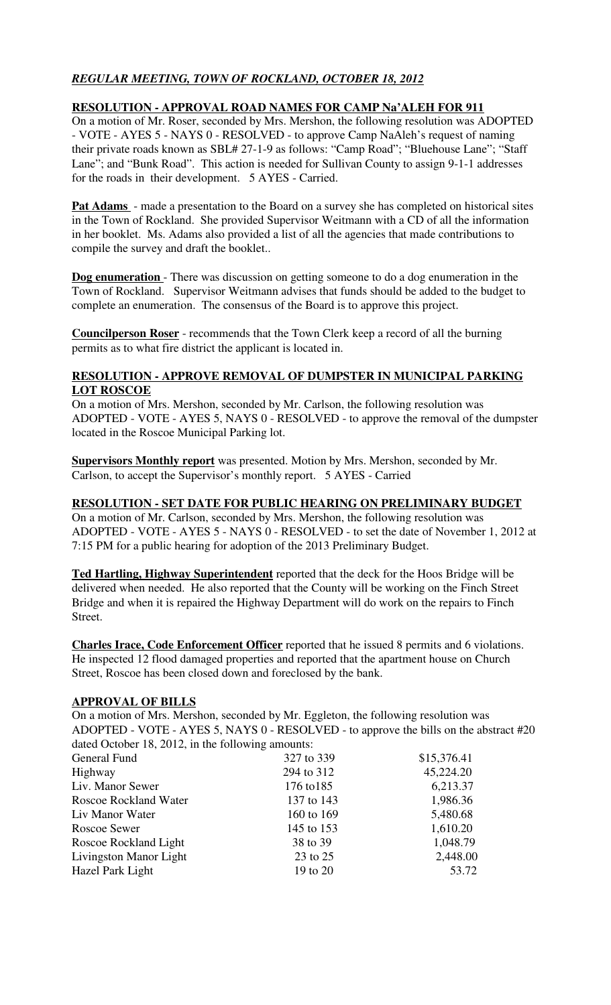# *REGULAR MEETING, TOWN OF ROCKLAND, OCTOBER 18, 2012*

### **RESOLUTION - APPROVAL ROAD NAMES FOR CAMP Na'ALEH FOR 911**

On a motion of Mr. Roser, seconded by Mrs. Mershon, the following resolution was ADOPTED - VOTE - AYES 5 - NAYS 0 - RESOLVED - to approve Camp NaAleh's request of naming their private roads known as SBL# 27-1-9 as follows: "Camp Road"; "Bluehouse Lane"; "Staff Lane"; and "Bunk Road". This action is needed for Sullivan County to assign 9-1-1 addresses for the roads in their development. 5 AYES - Carried.

**Pat Adams** - made a presentation to the Board on a survey she has completed on historical sites in the Town of Rockland. She provided Supervisor Weitmann with a CD of all the information in her booklet. Ms. Adams also provided a list of all the agencies that made contributions to compile the survey and draft the booklet..

**Dog enumeration** - There was discussion on getting someone to do a dog enumeration in the Town of Rockland. Supervisor Weitmann advises that funds should be added to the budget to complete an enumeration. The consensus of the Board is to approve this project.

**Councilperson Roser** - recommends that the Town Clerk keep a record of all the burning permits as to what fire district the applicant is located in.

### **RESOLUTION - APPROVE REMOVAL OF DUMPSTER IN MUNICIPAL PARKING LOT ROSCOE**

On a motion of Mrs. Mershon, seconded by Mr. Carlson, the following resolution was ADOPTED - VOTE - AYES 5, NAYS 0 - RESOLVED - to approve the removal of the dumpster located in the Roscoe Municipal Parking lot.

**Supervisors Monthly report** was presented. Motion by Mrs. Mershon, seconded by Mr. Carlson, to accept the Supervisor's monthly report. 5 AYES - Carried

### **RESOLUTION - SET DATE FOR PUBLIC HEARING ON PRELIMINARY BUDGET**

On a motion of Mr. Carlson, seconded by Mrs. Mershon, the following resolution was ADOPTED - VOTE - AYES 5 - NAYS 0 - RESOLVED - to set the date of November 1, 2012 at 7:15 PM for a public hearing for adoption of the 2013 Preliminary Budget.

**Ted Hartling, Highway Superintendent** reported that the deck for the Hoos Bridge will be delivered when needed. He also reported that the County will be working on the Finch Street Bridge and when it is repaired the Highway Department will do work on the repairs to Finch Street.

**Charles Irace, Code Enforcement Officer** reported that he issued 8 permits and 6 violations. He inspected 12 flood damaged properties and reported that the apartment house on Church Street, Roscoe has been closed down and foreclosed by the bank.

### **APPROVAL OF BILLS**

On a motion of Mrs. Mershon, seconded by Mr. Eggleton, the following resolution was ADOPTED - VOTE - AYES 5, NAYS 0 - RESOLVED - to approve the bills on the abstract #20 dated October 18, 2012, in the following amounts:

| General Fund                 | 327 to 339 | \$15,376.41 |
|------------------------------|------------|-------------|
| Highway                      | 294 to 312 | 45,224.20   |
| Liv. Manor Sewer             | 176 to 185 | 6,213.37    |
| <b>Roscoe Rockland Water</b> | 137 to 143 | 1,986.36    |
| Liv Manor Water              | 160 to 169 | 5,480.68    |
| Roscoe Sewer                 | 145 to 153 | 1,610.20    |
| Roscoe Rockland Light        | 38 to 39   | 1,048.79    |
| Livingston Manor Light       | 23 to 25   | 2,448.00    |
| Hazel Park Light             | 19 to 20   | 53.72       |
|                              |            |             |